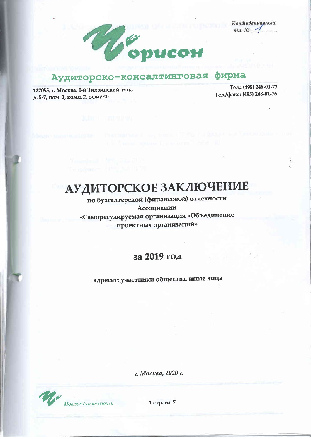Конфиденцияльно  $3\kappa3. N9$  /



## Аудиторско-консалтинговая фирма

127055, г. Москва, 1-й Тихвинский туп., д. 5-7, пом. 1, комн. 2, офис 40

Тел.: (495) 248-01-73 Тел./факс: (495) 248-01-76

# АУДИТОРСКОЕ ЗАКЛЮЧЕНИЕ

по бухгалтерской (финансовой) отчетности Ассоциации «Саморегулируемая организация «Объединение проектных организаций»

### за 2019 год

адресат: участники общества, иные лица

г. Москва, 2020 г.



1 стр. из 7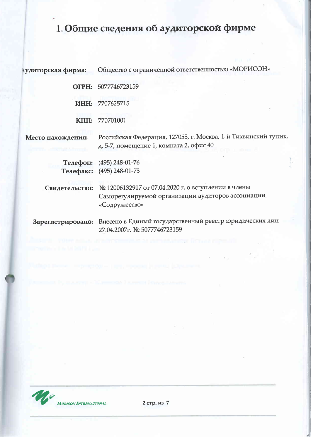## 1. Общие сведения об аудиторской фирме

Общество с ограниченной ответственностью «МОРИСОН» Аудиторская фирма:

OFPH: 5077746723159

**ИНН: 7707625715** 

KIII: 770701001

Место нахождения:

Российская Федерация, 127055, г. Москва, 1-й Тихвинский тупик, д. 5-7, помещение 1, комната 2, офис 40

Телефон: (495) 248-01-76 Телефакс: (495) 248-01-73

№ 12006132917 от 07.04.2020 г. о вступлении в члены Свидетельство: Саморегулируемой организации аудиторов ассоциации «Содружество»

Зарегистрировано: Внесено в Единый государственный реестр юридических лиц 27.04.2007r. № 5077746723159

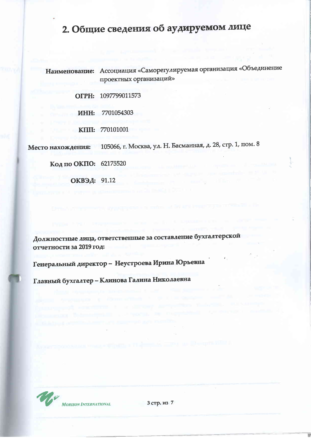## 2. Общие сведения об аудируемом лице

Наименование: Ассоциация «Саморегулируемая организация «Объединение проектных организаций»

OFPH: 1097799011573

ИНН: 7701054303

KIIII: 770101001

Место нахождения: 105066, г. Москва, ул. Н. Басманная, д. 28, стр. 1, пом. 8

Код по ОКПО: 62175520

ОКВЭД: 91.12

Должностные лица, ответственные за составление бухгалтерской отчетности за 2019 год:

Генеральный директор - Неустроева Ирина Юрьевна

Главный бухгалтер - Клинова Галина Николаевна



3 стр. из 7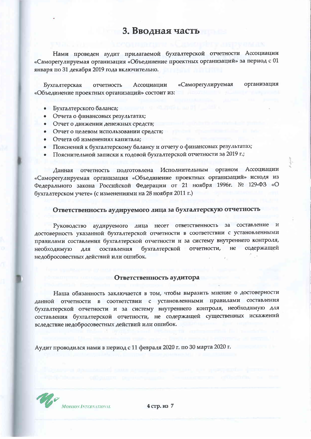### 3. Вводная часть

Нами проведен аудит прилагаемой бухгалтерской отчетности Ассоциации «Саморегулируемая организация «Объединение проектных организаций» за период с 01 января по 31 декабря 2019 года включительно.

«Саморегулируемая организация Бухгалтерская отчетность Ассоциации «Объединение проектных организаций» состоит из:

- Бухгалтерского баланса;
- Отчета о финансовых результатах;
- Отчет о движении денежных средств;
- Отчет о целевом использовании средств;
- Отчета об изменениях капитала;
- Пояснений к бухгалтерскому балансу и отчету о финансовых результатах;
- Пояснительной записки к годовой бухгалтерской отчетности за 2019 г.;

отчетность подготовлена Исполнительным органом Ассоциации Данная «Саморегулируемая организация «Объединение проектных организаций» исходя из Федерального закона Российской Федерации от 21 ноября 1996г. № 129-ФЗ «О бухгалтерском учете» (с изменениями на 28 ноября 2011 г.)

#### Ответственность аудируемого лица за бухгалтерскую отчетность

аудируемого лица несет ответственность за составление и Руководство достоверность указанной бухгалтерской отчетности в соответствии с установленными правилами составления бухгалтерской отчетности и за систему внутреннего контроля, отчетности, He содержащей бухгалтерской необходимую для составления недобросовестных действий или ошибок.

#### Ответственность аудитора

Наша обязанность заключается в том, чтобы выразить мнение о достоверности данной отчетности в соответствии с установленными правилами составления бухгалтерской отчетности и за систему внутреннего контроля, необходимую для составления бухгалтерской отчетности, не содержащей существенных искажений вследствие недобросовестных действий или ошибок.

Аудит проводился нами в период с 11 февраля 2020 г. по 30 марта 2020 г.

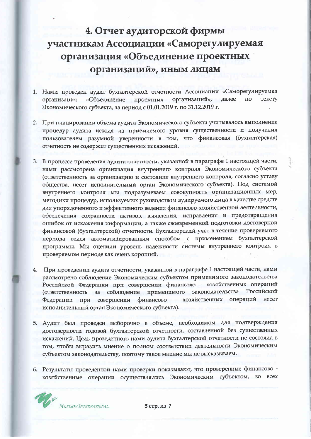## 4. Отчет аудиторской фирмы участникам Ассоциации «Саморегулируемая организация «Объединение проектных организаций», иным лицам

- 1. Нами проведен аудит бухгалтерской отчетности Ассоциации «Саморегулируемая организация «Объединение проектных организаций», далее  $\overline{a}$ тексту Экономического субъекта, за период с 01.01.2019 г. по 31.12.2019 г.
- 2. При планировании объема аудита Экономического субъекта учитывалось выполнение процедур аудита исходя из приемлемого уровня существенности и получения пользователем разумной уверенности в том, что финансовая (бухгалтерская) отчетность не содержит существенных искажений.
- 3. В процессе проведения аудита отчетности, указанной в параграфе 1 настоящей части, нами рассмотрена организация внутреннего контроля Экономического субъекта (ответственность за организацию и состояние внутреннего контроля, согласно уставу общества, несет исполнительный орган Экономического субъекта). Под системой внутреннего контроля мы подразумеваем совокупность организационных мер, методики процедур, используемых руководством аудируемого лица в качестве средств для упорядоченного и эффективного ведения финансово-хозяйственной деятельности, обеспечения сохранности активов, выявления, исправления и предотвращения ошибок от искажения информации, а также своевременной подготовки достоверной финансовой (бухгалтерской) отчетности. Бухгалтерский учет в течение проверяемого периода велся автоматизированным способом с применением бухгалтерской программы. Мы оценили уровень надежности системы внутреннего контроля в проверяемом периоде как очень хороший.
- 4. При проведении аудита отчетности, указанной в параграфе 1 настоящей части, нами рассмотрено соблюдение Экономическим субъектом применимого законодательства Российской Федерации при совершении финансово - хозяйственных операций соблюдение применимого законодательства Российской (ответственность за Федерации при совершении финансово - хозяйственных операций несет исполнительный орган Экономического субъекта).
- 5. Аудит был проведен выборочно в объеме, необходимом для подтверждения достоверности годовой бухгалтерской отчетности, составленной без существенных искажений. Цель проведенного нами аудита бухгалтерской отчетности не состояла в том, чтобы выразить мнение о полном соответствии деятельности Экономическим субъектом законодательству, поэтому такое мнение мы не высказываем.
- 6. Результаты проведенной нами проверки показывают, что проверенные финансово хозяйственные операции осуществлялись Экономическим субъектом, во всех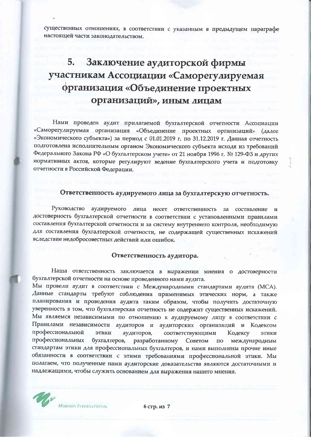существенных отношениях, в соответствии с указанным в предыдущем параграфе настоящей части законодательством.

### Заключение аудиторской фирмы 5. участникам Ассоциации «Саморегулируемая фрганизация «Объединение проектных организаций», иным лицам

Нами проведен аудит прилагаемой бухгалтерской отчетности Ассоциации «Саморегулируемая организация «Объединение проектных организаций» (далее «Экономического субъекта») за период с 01.01.2019 г. по 31.12.2019 г. Данная отчетность подготовлена исполнительным органом Экономического субъекта исходя из требований Федерального Закона РФ «О бухгалтерском учете» от 21 ноября 1996 г. № 129-ФЗ и других нормативных актов, которые регулируют ведение бухгалтерского учета и подготовку отчетности в Российской Федерации.

#### Ответственность аудируемого лица за бухгалтерскую отчетность.

Руководство аудируемого лица несет ответственность за составление и достоверность бухгалтерской отчетности в соответствии с установленными правилами составления бухгалтерской отчетности и за систему внутреннего контроля, необходимую для составления бухгалтерской отчетности, не содержащей существенных искажений вследствие недобросовестных действий или ошибок.

#### Ответственность аудитора.

Наша ответственность заключается в выражении мнения о достоверности бухгалтерской отчетности на основе проведенного нами аудита.

Мы провели аудит в соответствии с Международными стандартами аудита (МСА). Данные стандарты требуют соблюдения применимых этических норм, а также планирования и проведения аудита таким образом, чтобы получить достаточную уверенность в том, что бухгалтерская отчетность не содержит существенных искажений. Мы являемся независимыми по отношению к аудируемому лицу в соответствии с Правилами независимости аудиторов и аудиторских организаций и Кодексом профессиональной этики аудиторов, соответствующими Кодексу этики профессиональных бухгалтеров, разработанному Советом международным  $\Pi$ O стандартам этики для профессиональных бухгалтеров, и нами выполнены прочие иные обязанности в соответствии с этими требованиями профессиональной этики. Мы полагаем, что полученные нами аудиторские доказательства являются достаточными и надлежащими, чтобы служить основанием для выражения нашего мнения.